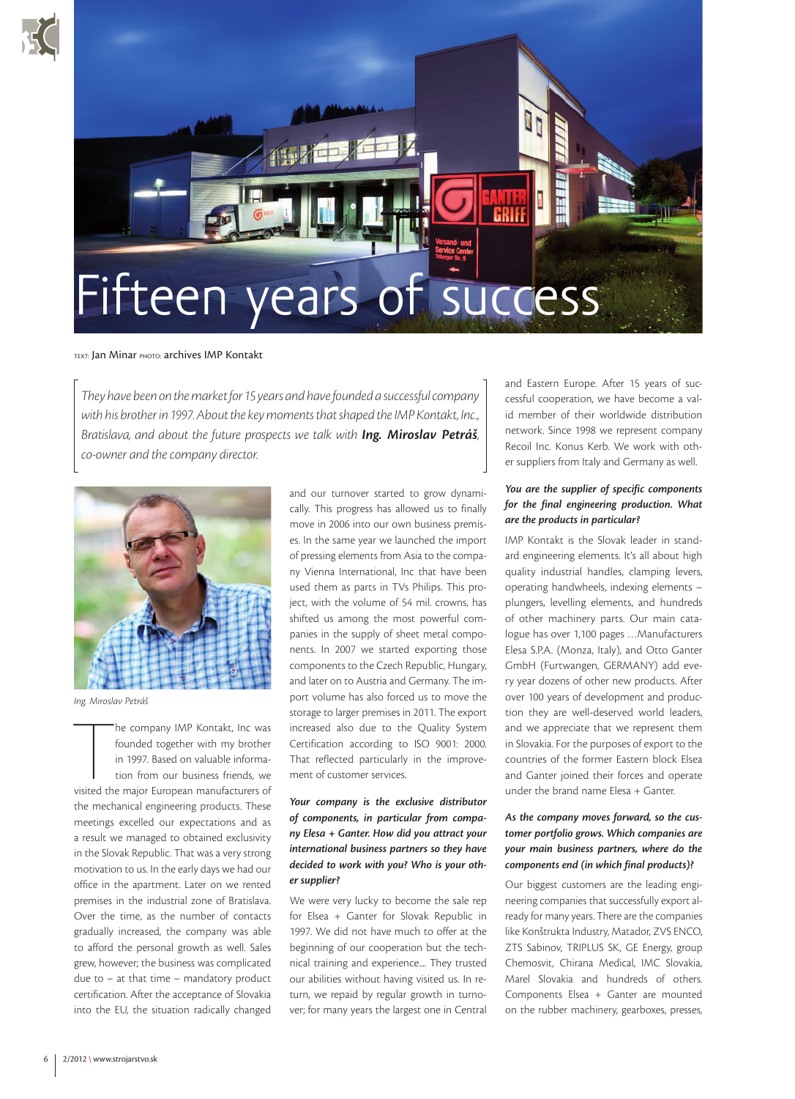



#### TEXT: Jan Minar PHOTO: archives IMP Kontakt

*They have been on the market for 15 years and have founded a successful company with his brother in 1997. About the key moments that shaped the IMP Kontakt, Inc., Bratislava, and about the future prospects we talk with Ing. Miroslav Petráš, co-owner and the company director.*



*Ing. Miroslav Petráš*

The company IMP Kontakt, Inc was<br>founded together with my brother<br>in 1997. Based on valuable informa-<br>tion from our business friends, we<br>visited the major European manufacturers of he company IMP Kontakt, Inc was founded together with my brother in 1997. Based on valuable information from our business friends, we the mechanical engineering products. These meetings excelled our expectations and as a result we managed to obtained exclusivity in the Slovak Republic. That was a very strong motivation to us. In the early days we had our office in the apartment. Later on we rented premises in the industrial zone of Bratislava. Over the time, as the number of contacts gradually increased, the company was able to afford the personal growth as well. Sales grew, however; the business was complicated due to – at that time – mandatory product certification. After the acceptance of Slovakia into the EU, the situation radically changed and our turnover started to grow dynamically. This progress has allowed us to finally move in 2006 into our own business premises. In the same year we launched the import of pressing elements from Asia to the company Vienna International, Inc that have been used them as parts in TVs Philips. This project, with the volume of 54 mil. crowns, has shifted us among the most powerful companies in the supply of sheet metal components. In 2007 we started exporting those components to the Czech Republic, Hungary, and later on to Austria and Germany. The import volume has also forced us to move the storage to larger premises in 2011. The export increased also due to the Quality System Certification according to ISO 9001: 2000. That reflected particularly in the improvement of customer services.

## *Your company is the exclusive distributor of components, in particular from company Elesa + Ganter. How did you attract your international business partners so they have decided to work with you? Who is your other supplier?*

We were very lucky to become the sale rep for Elsea + Ganter for Slovak Republic in 1997. We did not have much to offer at the beginning of our cooperation but the technical training and experience.... They trusted our abilities without having visited us. In return, we repaid by regular growth in turnover; for many years the largest one in Central

and Eastern Europe. After 15 years of successful cooperation, we have become a valid member of their worldwide distribution network. Since 1998 we represent company Recoil Inc. Konus Kerb. We work with other suppliers from Italy and Germany as well.

### *You are the supplier of specific components for the final engineering production. What are the products in particular?*

IMP Kontakt is the Slovak leader in standard engineering elements. It's all about high quality industrial handles, clamping levers, operating handwheels, indexing elements – plungers, levelling elements, and hundreds of other machinery parts. Our main catalogue has over 1,100 pages …Manufacturers Elesa S.P.A. (Monza, Italy), and Otto Ganter GmbH (Furtwangen, GERMANY) add every year dozens of other new products. After over 100 years of development and production they are well-deserved world leaders, and we appreciate that we represent them in Slovakia. For the purposes of export to the countries of the former Eastern block Elsea and Ganter joined their forces and operate under the brand name Elesa + Ganter.

# *As the company moves forward, so the customer portfolio grows. Which companies are your main business partners, where do the components end (in which final products)?*

Our biggest customers are the leading engineering companies that successfully export already for many years. There are the companies like Konštrukta Industry, Matador, ZVS ENCO, ZTS Sabinov, TRIPLUS SK, GE Energy, group Chemosvit, Chirana Medical, IMC Slovakia, Marel Slovakia and hundreds of others. Components Elsea + Ganter are mounted on the rubber machinery, gearboxes, presses,